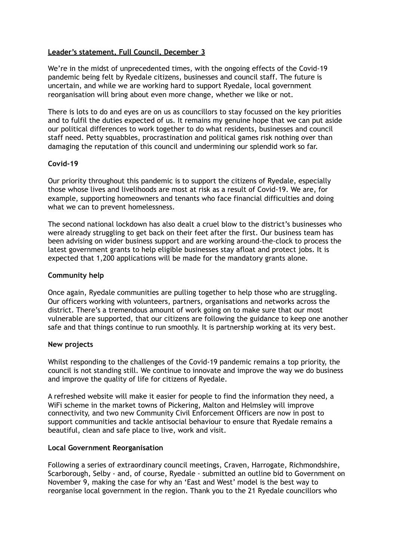## **Leader's statement, Full Council, December 3**

We're in the midst of unprecedented times, with the ongoing effects of the Covid-19 pandemic being felt by Ryedale citizens, businesses and council staff. The future is uncertain, and while we are working hard to support Ryedale, local government reorganisation will bring about even more change, whether we like or not.

There is lots to do and eyes are on us as councillors to stay focussed on the key priorities and to fulfil the duties expected of us. It remains my genuine hope that we can put aside our political differences to work together to do what residents, businesses and council staff need. Petty squabbles, procrastination and political games risk nothing over than damaging the reputation of this council and undermining our splendid work so far.

# **Covid-19**

Our priority throughout this pandemic is to support the citizens of Ryedale, especially those whose lives and livelihoods are most at risk as a result of Covid-19. We are, for example, supporting homeowners and tenants who face financial difficulties and doing what we can to prevent homelessness.

The second national lockdown has also dealt a cruel blow to the district's businesses who were already struggling to get back on their feet after the first. Our business team has been advising on wider business support and are working around-the-clock to process the latest government grants to help eligible businesses stay afloat and protect jobs. It is expected that 1,200 applications will be made for the mandatory grants alone.

## **Community help**

Once again, Ryedale communities are pulling together to help those who are struggling. Our officers working with volunteers, partners, organisations and networks across the district. There's a tremendous amount of work going on to make sure that our most vulnerable are supported, that our citizens are following the guidance to keep one another safe and that things continue to run smoothly. It is partnership working at its very best.

## **New projects**

Whilst responding to the challenges of the Covid-19 pandemic remains a top priority, the council is not standing still. We continue to innovate and improve the way we do business and improve the quality of life for citizens of Ryedale.

A refreshed website will make it easier for people to find the information they need, a WiFi scheme in the market towns of Pickering, Malton and Helmsley will improve connectivity, and two new Community Civil Enforcement Officers are now in post to support communities and tackle antisocial behaviour to ensure that Ryedale remains a beautiful, clean and safe place to live, work and visit.

## **Local Government Reorganisation**

Following a series of extraordinary council meetings, Craven, Harrogate, Richmondshire, Scarborough, Selby - and, of course, Ryedale - submitted an outline bid to Government on November 9, making the case for why an 'East and West' model is the best way to reorganise local government in the region. Thank you to the 21 Ryedale councillors who